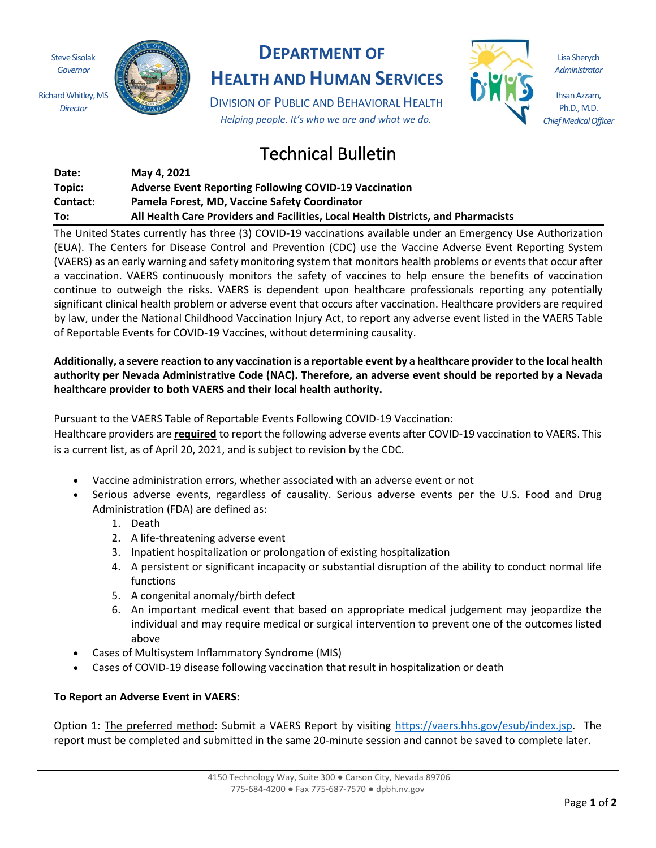Steve Sisolak *Governor*

Richard Whitley, MS *Director*



## **DEPARTMENT OF**

## **HEALTH AND HUMAN SERVICES**

DIVISION OF PUBLIC AND BEHAVIORAL HEALTH *Helping people. It's who we are and what we do.*

# Technical Bulletin

| Date:    | May 4. 2021                                                                       |
|----------|-----------------------------------------------------------------------------------|
| Topic:   | <b>Adverse Event Reporting Following COVID-19 Vaccination</b>                     |
| Contact: | Pamela Forest, MD, Vaccine Safety Coordinator                                     |
| To:      | All Health Care Providers and Facilities, Local Health Districts, and Pharmacists |

The United States currently has three (3) COVID-19 vaccinations available under an Emergency Use Authorization (EUA). The Centers for Disease Control and Prevention (CDC) use the Vaccine Adverse Event Reporting System (VAERS) as an early warning and safety monitoring system that monitors health problems or events that occur after a vaccination. VAERS continuously monitors the safety of vaccines to help ensure the benefits of vaccination continue to outweigh the risks. VAERS is dependent upon healthcare professionals reporting any potentially significant clinical health problem or adverse event that occurs after vaccination. Healthcare providers are required by law, under the National Childhood Vaccination Injury Act, to report any adverse event listed in the VAERS Table of Reportable Events for COVID-19 Vaccines, without determining causality.

#### **Additionally, a severe reaction to any vaccination is a reportable event by a healthcare provider to the local health authority per Nevada Administrative Code (NAC). Therefore, an adverse event should be reported by a Nevada healthcare provider to both VAERS and their local health authority.**

Pursuant to the VAERS Table of Reportable Events Following COVID-19 Vaccination:

Healthcare providers are **required** to report the following adverse events after COVID-19 vaccination to VAERS. This is a current list, as of April 20, 2021, and is subject to revision by the CDC.

- Vaccine administration errors, whether associated with an adverse event or not
- Serious adverse events, regardless of causality. Serious adverse events per the U.S. Food and Drug Administration (FDA) are defined as:
	- 1. Death
	- 2. A life-threatening adverse event
	- 3. Inpatient hospitalization or prolongation of existing hospitalization
	- 4. A persistent or significant incapacity or substantial disruption of the ability to conduct normal life functions
	- 5. A congenital anomaly/birth defect
	- 6. An important medical event that based on appropriate medical judgement may jeopardize the individual and may require medical or surgical intervention to prevent one of the outcomes listed above
- Cases of Multisystem Inflammatory Syndrome (MIS)
- Cases of COVID-19 disease following vaccination that result in hospitalization or death

### **To Report an Adverse Event in VAERS:**

Option 1: The preferred method: Submit a VAERS Report by visiting <https://vaers.hhs.gov/esub/index.jsp>. The report must be completed and submitted in the same 20-minute session and cannot be saved to complete later.

Lisa Sherych *Administrator*

Ihsan Azzam, Ph.D., M.D. *Chief Medical Officer*